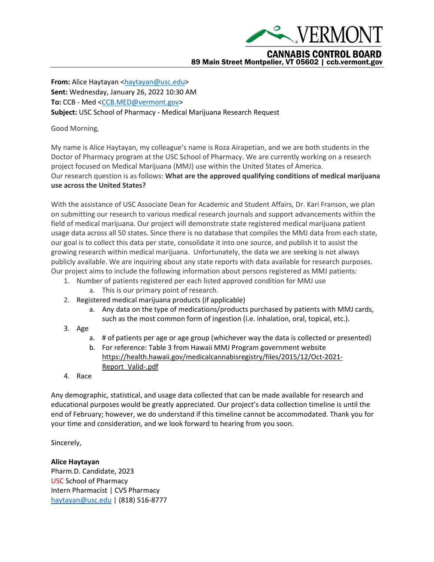

**From:** Alice Haytayan [<haytayan@usc.edu>](mailto:haytayan@usc.edu) **Sent:** Wednesday, January 26, 2022 10:30 AM **To:** CCB - Med [<CCB.MED@vermont.gov>](mailto:CCB.MED@vermont.gov) **Subject:** USC School of Pharmacy - Medical Marijuana Research Request

## Good Morning,

My name is Alice Haytayan, my colleague's name is Roza Airapetian, and we are both students in the Doctor of Pharmacy program at the USC School of Pharmacy. We are currently working on a research project focused on Medical Marijuana (MMJ) use within the United States of America. Our research question is as follows: **What are the approved qualifying conditions of medical marijuana use across the United States?**

With the assistance of USC Associate Dean for Academic and Student Affairs, Dr. Kari Franson, we plan on submitting our research to various medical research journals and support advancements within the field of medical marijuana. Our project will demonstrate state registered medical marijuana patient usage data across all 50 states. Since there is no database that compiles the MMJ data from each state, our goal is to collect this data per state, consolidate it into one source, and publish it to assist the growing research within medical marijuana. Unfortunately, the data we are seeking is not always publicly available. We are inquiring about any state reports with data available for research purposes. Our project aims to include the following information about persons registered as MMJ patients:

- 1. Number of patients registered per each listed approved condition for MMJ use a. This is our primary point of research.
- 2. Registered medical marijuana products (if applicable)
	- a. Any data on the type of medications/products purchased by patients with MMJ cards, such as the most common form of ingestion (i.e. inhalation, oral, topical, etc.).
- 3. Age
	- a. # of patients per age or age group (whichever way the data is collected or presented)
	- b. For reference: Table 3 from Hawaii MMJ Program government website [https://health.hawaii.gov/medicalcannabisregistry/files/2015/12/Oct-2021-](https://health.hawaii.gov/medicalcannabisregistry/files/2015/12/Oct-2021-Report_Valid-.pdf) [Report\\_Valid-.pdf](https://health.hawaii.gov/medicalcannabisregistry/files/2015/12/Oct-2021-Report_Valid-.pdf)
- 4. Race

Any demographic, statistical, and usage data collected that can be made available for research and educational purposes would be greatly appreciated. Our project's data collection timeline is until the end of February; however, we do understand if this timeline cannot be accommodated. Thank you for your time and consideration, and we look forward to hearing from you soon.

Sincerely,

**Alice Haytayan**

Pharm.D. Candidate, 2023 USC School of Pharmacy Intern Pharmacist | CVS Pharmacy [haytayan@usc.edu](mailto:haytayan@usc.edu) | (818) 516-8777